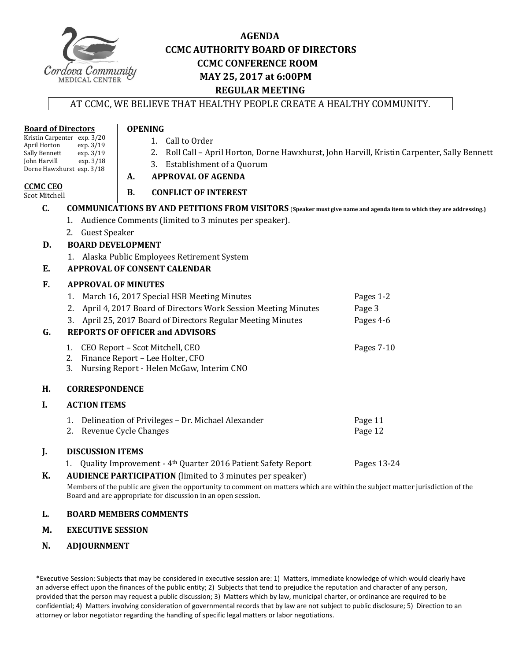

**OPENING**

**Board of Directors**

# **AGENDA CCMC AUTHORITY BOARD OF DIRECTORS CCMC CONFERENCE ROOM MAY 25, 2017 at 6:00PM REGULAR MEETING**

#### AT CCMC, WE BELIEVE THAT HEALTHY PEOPLE CREATE A HEALTHY COMMUNITY.

#### Kristin Carpenter exp. 3/20<br>April Horton exp. 3/19 April Horton exp. 3/19<br>Sally Bennett exp. 3/19 Sally Bennett exp. 3/19<br>John Harvill exp. 3/18 John Harvill Dorne Hawxhurst exp. 3/18 **CCMC CEO**  Scot Mitchell 1. Call to Order 2. Roll Call – April Horton, Dorne Hawxhurst, John Harvill, Kristin Carpenter, Sally Bennett 3. Establishment of a Quorum **A. APPROVAL OF AGENDA B. CONFLICT OF INTEREST** C. COMMUNICATIONS BY AND PETITIONS FROM VISITORS (Speaker must give name and agenda item to which they are addressing.) 1. Audience Comments (limited to 3 minutes per speaker). 2. Guest Speaker **D. BOARD DEVELOPMENT** 1. Alaska Public Employees Retirement System **E. APPROVAL OF CONSENT CALENDAR F. APPROVAL OF MINUTES**  1. March 16, 2017 Special HSB Meeting Minutes Pages 1-2 2. April 4, 2017 Board of Directors Work Session Meeting Minutes Page 3 3. April 25, 2017 Board of Directors Regular Meeting Minutes Pages 4-6 G. REPORTS OF OFFICER and ADVISORS 1. CEO Report – Scot Mitchell, CEO Pages 7‐10 2. Finance Report – Lee Holter, CFO 3. Nursing Report ‐ Helen McGaw, Interim CNO **H. CORRESPONDENCE I. ACTION ITEMS**  1. Delineation of Privileges – Dr. Michael Alexander Page 11<br>2. Revenue Cycle Changes Page 12 2. Revenue Cycle Changes **J. DISCUSSION ITEMS** 1. Quality Improvement - 4<sup>th</sup> Quarter 2016 Patient Safety Report Pages 13-24 **K. AUDIENCE PARTICIPATION** (limited to 3 minutes per speaker)

Members of the public are given the opportunity to comment on matters which are within the subject matter jurisdiction of the Board and are appropriate for discussion in an open session.

#### **L. BOARD MEMBERS COMMENTS**

#### **M. EXECUTIVE SESSION**

#### **N. ADJOURNMENT**

\*Executive Session: Subjects that may be considered in executive session are: 1) Matters, immediate knowledge of which would clearly have an adverse effect upon the finances of the public entity; 2) Subjects that tend to prejudice the reputation and character of any person, provided that the person may request a public discussion; 3) Matters which by law, municipal charter, or ordinance are required to be confidential; 4) Matters involving consideration of governmental records that by law are not subject to public disclosure; 5) Direction to an attorney or labor negotiator regarding the handling of specific legal matters or labor negotiations.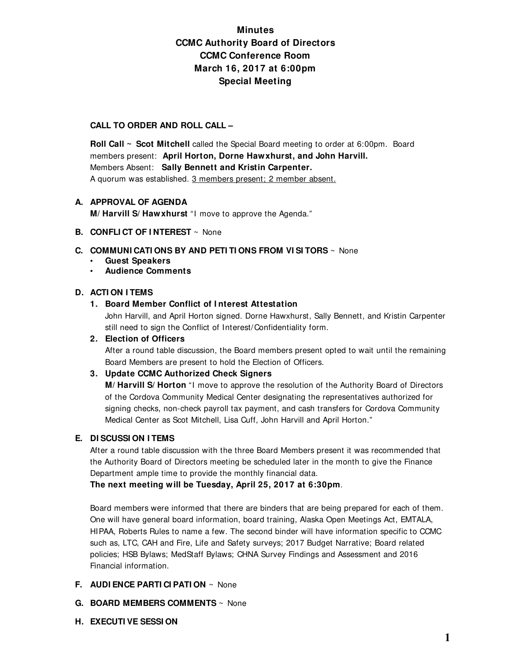# **Minutes CCMC Authority Board of Directors CCMC Conference Room March 16, 2017 at 6:00pm Special Meeting**

#### **CALL TO ORDER AND ROLL CALL –**

**Roll Call ~ Scot Mitchell** called the Special Board meeting to order at 6:00pm. Board members present: **April Horton, Dorne Hawxhurst, and John Harvill.**  Members Absent: **Sally Bennett and Kristin Carpenter.**  A quorum was established. 3 members present; 2 member absent.

#### **A. APPROVAL OF AGENDA**

**M/ Harvill S/ Hawxhurst** "I move to approve the Agenda."

#### **B. CONFLI CT OF I NTEREST** ~ None

#### **C. COMMUNI CATI ONS BY AND PETI TI ONS FROM VI SI TORS** ~ None

- **Guest Speakers**
- **Audience Comments**

#### **D. ACTI ON I TEMS**

#### **1. Board Member Conflict of I nterest Attestation**

John Harvill, and April Horton signed. Dorne Hawxhurst, Sally Bennett, and Kristin Carpenter still need to sign the Conflict of Interest/Confidentiality form.

#### **2. Election of Officers**

After a round table discussion, the Board members present opted to wait until the remaining Board Members are present to hold the Election of Officers.

#### **3. Update CCMC Authorized Check Signers**

**M/ Harvill S/ Horton** "I move to approve the resolution of the Authority Board of Directors of the Cordova Community Medical Center designating the representatives authorized for signing checks, non-check payroll tax payment, and cash transfers for Cordova Community Medical Center as Scot Mitchell, Lisa Cuff, John Harvill and April Horton."

#### **E. DI SCUSSI ON I TEMS**

After a round table discussion with the three Board Members present it was recommended that the Authority Board of Directors meeting be scheduled later in the month to give the Finance Department ample time to provide the monthly financial data.

**The next meeting will be Tuesday, April 25, 2017 at 6:30pm**.

Board members were informed that there are binders that are being prepared for each of them. One will have general board information, board training, Alaska Open Meetings Act, EMTALA, HIPAA, Roberts Rules to name a few. The second binder will have information specific to CCMC such as, LTC, CAH and Fire, Life and Safety surveys; 2017 Budget Narrative; Board related policies; HSB Bylaws; MedStaff Bylaws; CHNA Survey Findings and Assessment and 2016 Financial information.

#### **F. AUDI ENCE PARTI CI PATI ON** ~ None

- **G. BOARD MEMBERS COMMENTS** ~ None
- **H. EXECUTI VE SESSI ON**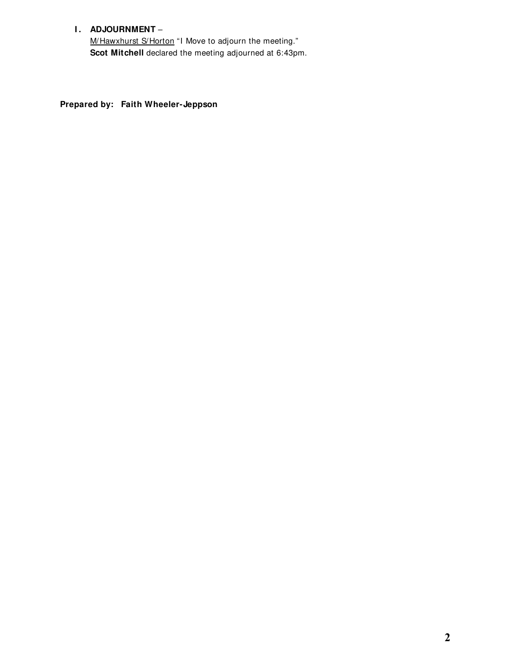#### **I.** ADJOURNMENT -

M/Hawxhurst S/Horton "I Move to adjourn the meeting." **Scot Mitchell** declared the meeting adjourned at 6:43pm.

**Prepared by: Faith Wheeler-Jeppson**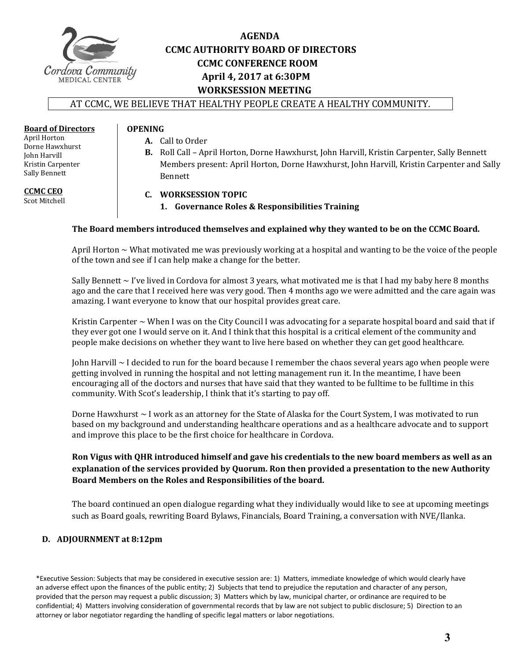

# **AGENDA CCMC AUTHORITY BOARD OF DIRECTORS CCMC CONFERENCE ROOM April 4, 2017 at 6:30PM WORKSESSION MEETING**

#### AT CCMC, WE BELIEVE THAT HEALTHY PEOPLE CREATE A HEALTHY COMMUNITY.

#### **Board of Directors**

### **OPENING**

- April Horton Dorne Hawxhurst John Harvill Kristin Carpenter Sally Bennett
- A. Call to Order
- **B.** Roll Call April Horton, Dorne Hawxhurst, John Harvill, Kristin Carpenter, Sally Bennett Members present: April Horton, Dorne Hawxhurst, John Harvill, Kristin Carpenter and Sally Bennett

# **CCMC CEO**

Scot Mitchell

#### **C. WORKSESSION TOPIC**

**1. Governance Roles & Responsibilities Training**

#### **The Board members introduced themselves and explained why they wanted to be on the CCMC Board.**

April Horton  $\sim$  What motivated me was previously working at a hospital and wanting to be the voice of the people of the town and see if I can help make a change for the better.

Sally Bennett  $\sim$  I've lived in Cordova for almost 3 years, what motivated me is that I had my baby here 8 months ago and the care that I received here was very good. Then 4 months ago we were admitted and the care again was amazing. I want everyone to know that our hospital provides great care.

Kristin Carpenter  $\sim$  When I was on the City Council I was advocating for a separate hospital board and said that if they ever got one I would serve on it. And I think that this hospital is a critical element of the community and people make decisions on whether they want to live here based on whether they can get good healthcare.

John Harvill  $\sim$  I decided to run for the board because I remember the chaos several years ago when people were getting involved in running the hospital and not letting management run it. In the meantime, I have been encouraging all of the doctors and nurses that have said that they wanted to be fulltime to be fulltime in this community. With Scot's leadership, I think that it's starting to pay off.

Dorne Hawxhurst  $\sim$  I work as an attorney for the State of Alaska for the Court System, I was motivated to run based on my background and understanding healthcare operations and as a healthcare advocate and to support and improve this place to be the first choice for healthcare in Cordova.

#### Ron Vigus with OHR introduced himself and gave his credentials to the new board members as well as an **explanation of the services provided by Quorum. Ron then provided a presentation to the new Authority Board Members on the Roles and Responsibilities of the board.**

The board continued an open dialogue regarding what they individually would like to see at upcoming meetings such as Board goals, rewriting Board Bylaws, Financials, Board Training, a conversation with NVE/Ilanka.

#### **D. ADJOURNMENT at 8:12pm**

\*Executive Session: Subjects that may be considered in executive session are: 1) Matters, immediate knowledge of which would clearly have an adverse effect upon the finances of the public entity; 2) Subjects that tend to prejudice the reputation and character of any person, provided that the person may request a public discussion; 3) Matters which by law, municipal charter, or ordinance are required to be confidential; 4) Matters involving consideration of governmental records that by law are not subject to public disclosure; 5) Direction to an attorney or labor negotiator regarding the handling of specific legal matters or labor negotiations.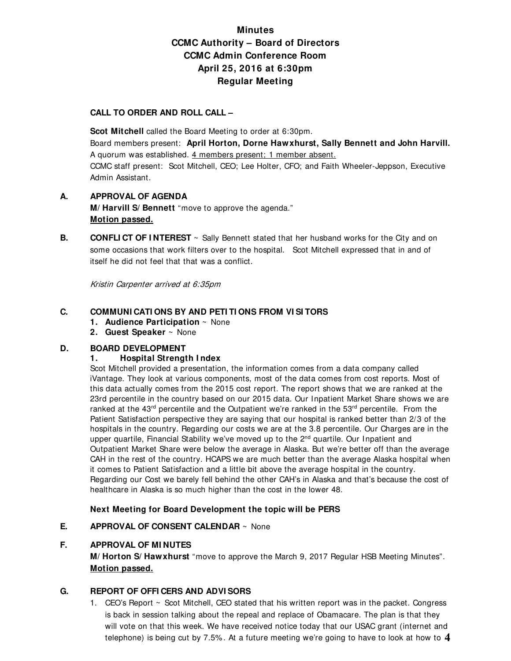# **Minutes CCMC Authority – Board of Directors CCMC Admin Conference Room April 25, 2016 at 6:30pm Regular Meeting**

#### **CALL TO ORDER AND ROLL CALL –**

**Scot Mitchell** called the Board Meeting to order at 6:30pm. Board members present: **April Horton, Dorne Hawxhurst, Sally Bennett and John Harvill.**  A quorum was established. 4 members present; 1 member absent. CCMC staff present: Scot Mitchell, CEO; Lee Holter, CFO; and Faith Wheeler-Jeppson, Executive Admin Assistant.

#### **A. APPROVAL OF AGENDA M/ Harvill S/ Bennett** "move to approve the agenda." **Motion passed.**

**B.** CONFLICT OF INTEREST  $\sim$  Sally Bennett stated that her husband works for the City and on some occasions that work filters over to the hospital. Scot Mitchell expressed that in and of itself he did not feel that that was a conflict.

Kristin Carpenter arrived at 6:35pm

#### **C. COMMUNI CATI ONS BY AND PETI TI ONS FROM VI SI TORS**

- **1. Audience Participation** ~ None
- **2. Guest Speaker** ~ None

#### **D. BOARD DEVELOPMENT**

#### **1. Hospital Strength I ndex**

Scot Mitchell provided a presentation, the information comes from a data company called iVantage. They look at various components, most of the data comes from cost reports. Most of this data actually comes from the 2015 cost report. The report shows that we are ranked at the 23rd percentile in the country based on our 2015 data. Our Inpatient Market Share shows we are ranked at the 43<sup>rd</sup> percentile and the Outpatient we're ranked in the 53<sup>rd</sup> percentile. From the Patient Satisfaction perspective they are saying that our hospital is ranked better than 2/3 of the hospitals in the country. Regarding our costs we are at the 3.8 percentile. Our Charges are in the upper quartile, Financial Stability we've moved up to the  $2<sup>nd</sup>$  quartile. Our Inpatient and Outpatient Market Share were below the average in Alaska. But we're better off than the average CAH in the rest of the country. HCAPS we are much better than the average Alaska hospital when it comes to Patient Satisfaction and a little bit above the average hospital in the country. Regarding our Cost we barely fell behind the other CAH's in Alaska and that's because the cost of healthcare in Alaska is so much higher than the cost in the lower 48.

#### **Next Meeting for Board Development the topic will be PERS**

#### **E. APPROVAL OF CONSENT CALENDAR** ~ None

#### **F. APPROVAL OF MI NUTES**

**M/ Horton S/ Hawxhurst** "move to approve the March 9, 2017 Regular HSB Meeting Minutes". **Motion passed.**

#### **G. REPORT OF OFFI CERS AND ADVI SORS**

1. CEO's Report ~ Scot Mitchell, CEO stated that his written report was in the packet. Congress is back in session talking about the repeal and replace of Obamacare. The plan is that they will vote on that this week. We have received notice today that our USAC grant (internet and telephone) is being cut by 7.5% . At a future meeting we're going to have to look at how to **4**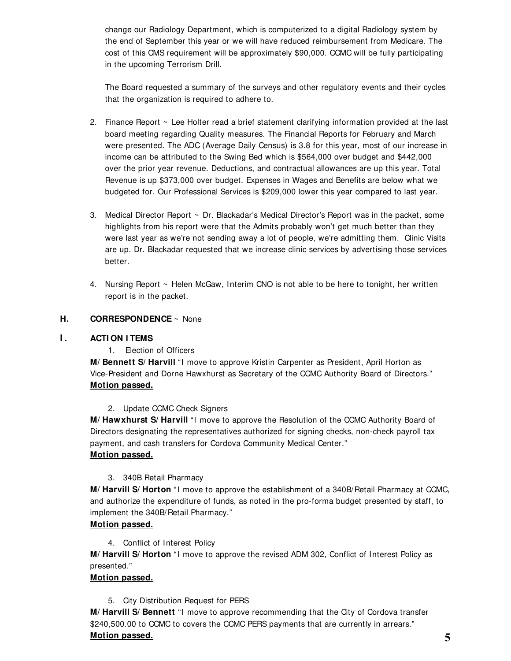change our Radiology Department, which is computerized to a digital Radiology system by the end of September this year or we will have reduced reimbursement from Medicare. The cost of this CMS requirement will be approximately \$90,000. CCMC will be fully participating in the upcoming Terrorism Drill.

The Board requested a summary of the surveys and other regulatory events and their cycles that the organization is required to adhere to.

- 2. Finance Report ~ Lee Holter read a brief statement clarifying information provided at the last board meeting regarding Quality measures. The Financial Reports for February and March were presented. The ADC (Average Daily Census) is 3.8 for this year, most of our increase in income can be attributed to the Swing Bed which is \$564,000 over budget and \$442,000 over the prior year revenue. Deductions, and contractual allowances are up this year. Total Revenue is up \$373,000 over budget. Expenses in Wages and Benefits are below what we budgeted for. Our Professional Services is \$209,000 lower this year compared to last year.
- 3. Medical Director Report ~ Dr. Blackadar's Medical Director's Report was in the packet, some highlights from his report were that the Admits probably won't get much better than they were last year as we're not sending away a lot of people, we're admitting them. Clinic Visits are up. Dr. Blackadar requested that we increase clinic services by advertising those services better.
- 4. Nursing Report ~ Helen McGaw, Interim CNO is not able to be here to tonight, her written report is in the packet.

#### **H. CORRESPONDENCE** ~ None

#### **I . ACTI ON I TEMS**

1. Election of Officers

**M/ Bennett S/ Harvill** "I move to approve Kristin Carpenter as President, April Horton as Vice-President and Dorne Hawxhurst as Secretary of the CCMC Authority Board of Directors." **Motion passed.** 

2. Update CCMC Check Signers

**M/ Hawxhurst S/ Harvill** "I move to approve the Resolution of the CCMC Authority Board of Directors designating the representatives authorized for signing checks, non-check payroll tax payment, and cash transfers for Cordova Community Medical Center."

#### **Motion passed.**

3. 340B Retail Pharmacy

**M/ Harvill S/ Horton** "I move to approve the establishment of a 340B/Retail Pharmacy at CCMC, and authorize the expenditure of funds, as noted in the pro-forma budget presented by staff, to implement the 340B/Retail Pharmacy."

#### **Motion passed.**

4. Conflict of Interest Policy

**M/ Harvill S/ Horton** "I move to approve the revised ADM 302, Conflict of Interest Policy as presented."

#### **Motion passed.**

5. City Distribution Request for PERS

**M/ Harvill S/ Bennett** "I move to approve recommending that the City of Cordova transfer \$240,500.00 to CCMC to covers the CCMC PERS payments that are currently in arrears." **Motion passed. 5**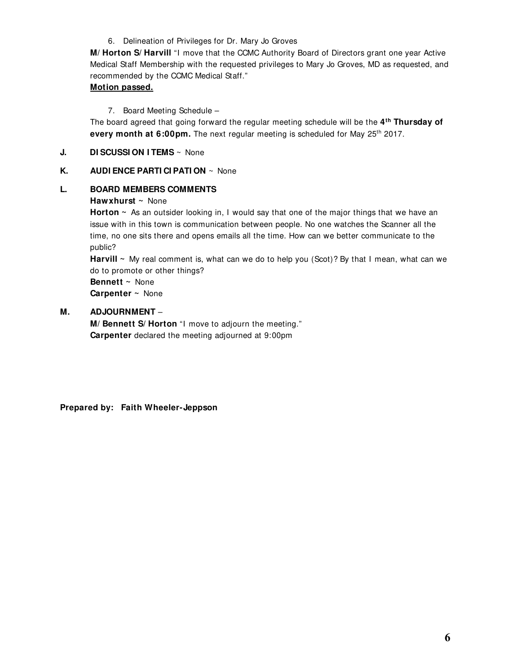#### 6. Delineation of Privileges for Dr. Mary Jo Groves

**M/ Horton S/ Harvill** "I move that the CCMC Authority Board of Directors grant one year Active Medical Staff Membership with the requested privileges to Mary Jo Groves, MD as requested, and recommended by the CCMC Medical Staff."

#### **Motion passed.**

#### 7. Board Meeting Schedule –

The board agreed that going forward the regular meeting schedule will be the **4 th Thursday of every month at 6:00pm.** The next regular meeting is scheduled for May 25<sup>th</sup> 2017.

#### **J. DI SCUSSI ON I TEMS** ~ None

#### **K. AUDI ENCE PARTI CI PATI ON** ~ None

#### **L. BOARD MEMBERS COMMENTS**

#### **Hawxhurst ~** None

**Horton** ~ As an outsider looking in, I would say that one of the major things that we have an issue with in this town is communication between people. No one watches the Scanner all the time, no one sits there and opens emails all the time. How can we better communicate to the public?

Harvill ~ My real comment is, what can we do to help you (Scot)? By that I mean, what can we do to promote or other things?

**Bennett ~** None **Carpenter ~** None

#### **M. ADJOURNMENT** –

**M/ Bennett S/ Horton** "I move to adjourn the meeting." **Carpenter** declared the meeting adjourned at 9:00pm

**Prepared by: Faith Wheeler-Jeppson**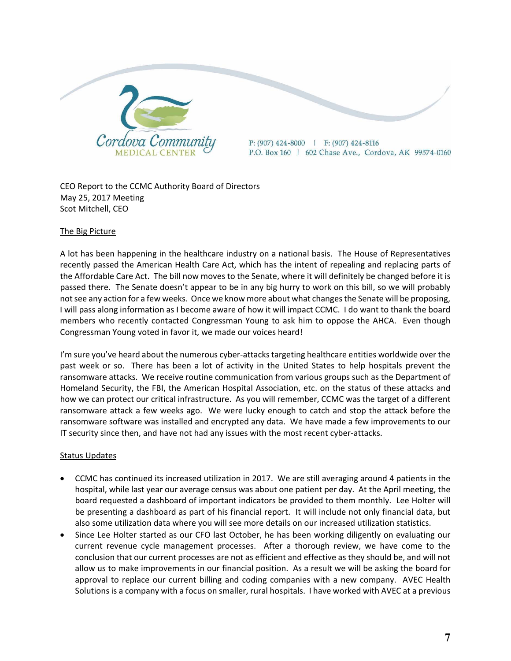

CEO Report to the CCMC Authority Board of Directors May 25, 2017 Meeting Scot Mitchell, CEO

#### The Big Picture

A lot has been happening in the healthcare industry on a national basis. The House of Representatives recently passed the American Health Care Act, which has the intent of repealing and replacing parts of the Affordable Care Act. The bill now moves to the Senate, where it will definitely be changed before it is passed there. The Senate doesn't appear to be in any big hurry to work on this bill, so we will probably notsee any action for a few weeks. Once we know more about what changesthe Senate will be proposing, I will pass along information as I become aware of how it will impact CCMC. I do want to thank the board members who recently contacted Congressman Young to ask him to oppose the AHCA. Even though Congressman Young voted in favor it, we made our voices heard!

I'm sure you've heard about the numerous cyber-attacks targeting healthcare entities worldwide over the past week or so. There has been a lot of activity in the United States to help hospitals prevent the ransomware attacks. We receive routine communication from various groups such as the Department of Homeland Security, the FBI, the American Hospital Association, etc. on the status of these attacks and how we can protect our critical infrastructure. As you will remember, CCMC was the target of a different ransomware attack a few weeks ago. We were lucky enough to catch and stop the attack before the ransomware software was installed and encrypted any data. We have made a few improvements to our IT security since then, and have not had any issues with the most recent cyber‐attacks.

#### Status Updates

- CCMC has continued its increased utilization in 2017. We are still averaging around 4 patients in the hospital, while last year our average census was about one patient per day. At the April meeting, the board requested a dashboard of important indicators be provided to them monthly. Lee Holter will be presenting a dashboard as part of his financial report. It will include not only financial data, but also some utilization data where you will see more details on our increased utilization statistics.
- Since Lee Holter started as our CFO last October, he has been working diligently on evaluating our current revenue cycle management processes. After a thorough review, we have come to the conclusion that our current processes are not as efficient and effective as they should be, and will not allow us to make improvements in our financial position. As a result we will be asking the board for approval to replace our current billing and coding companies with a new company. AVEC Health Solutions is a company with a focus on smaller, rural hospitals. I have worked with AVEC at a previous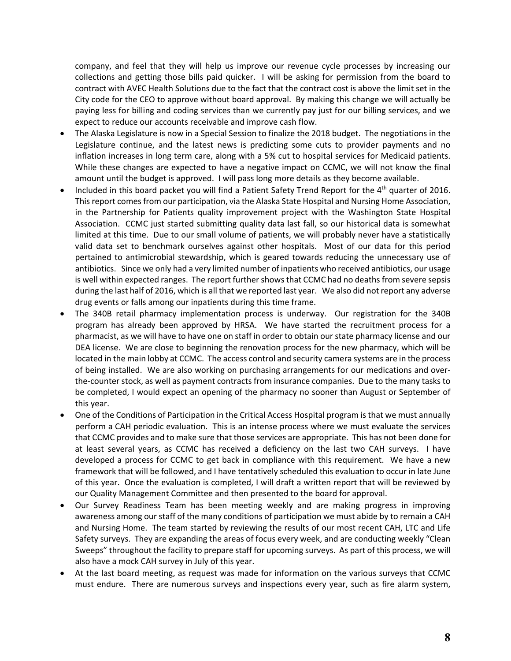company, and feel that they will help us improve our revenue cycle processes by increasing our collections and getting those bills paid quicker. I will be asking for permission from the board to contract with AVEC Health Solutions due to the fact that the contract cost is above the limit set in the City code for the CEO to approve without board approval. By making this change we will actually be paying less for billing and coding services than we currently pay just for our billing services, and we expect to reduce our accounts receivable and improve cash flow.

- The Alaska Legislature is now in a Special Session to finalize the 2018 budget. The negotiations in the Legislature continue, and the latest news is predicting some cuts to provider payments and no inflation increases in long term care, along with a 5% cut to hospital services for Medicaid patients. While these changes are expected to have a negative impact on CCMC, we will not know the final amount until the budget is approved. I will pass long more details as they become available.
- Included in this board packet you will find a Patient Safety Trend Report for the 4<sup>th</sup> quarter of 2016. This report comes from our participation, via the Alaska State Hospital and Nursing Home Association, in the Partnership for Patients quality improvement project with the Washington State Hospital Association. CCMC just started submitting quality data last fall, so our historical data is somewhat limited at this time. Due to our small volume of patients, we will probably never have a statistically valid data set to benchmark ourselves against other hospitals. Most of our data for this period pertained to antimicrobial stewardship, which is geared towards reducing the unnecessary use of antibiotics. Since we only had a very limited number of inpatients who received antibiotics, our usage is well within expected ranges. The report further shows that CCMC had no deaths from severe sepsis during the last half of 2016, which is all that we reported last year. We also did not report any adverse drug events or falls among our inpatients during this time frame.
- The 340B retail pharmacy implementation process is underway. Our registration for the 340B program has already been approved by HRSA. We have started the recruitment process for a pharmacist, as we will have to have one on staff in order to obtain our state pharmacy license and our DEA license. We are close to beginning the renovation process for the new pharmacy, which will be located in the main lobby at CCMC. The access control and security camera systems are in the process of being installed. We are also working on purchasing arrangements for our medications and over‐ the‐counter stock, as well as payment contracts from insurance companies. Due to the many tasks to be completed, I would expect an opening of the pharmacy no sooner than August or September of this year.
- One of the Conditions of Participation in the Critical Access Hospital program is that we must annually perform a CAH periodic evaluation. This is an intense process where we must evaluate the services that CCMC provides and to make sure that those services are appropriate. This has not been done for at least several years, as CCMC has received a deficiency on the last two CAH surveys. I have developed a process for CCMC to get back in compliance with this requirement. We have a new framework that will be followed, and I have tentatively scheduled this evaluation to occur in late June of this year. Once the evaluation is completed, I will draft a written report that will be reviewed by our Quality Management Committee and then presented to the board for approval.
- Our Survey Readiness Team has been meeting weekly and are making progress in improving awareness among our staff of the many conditions of participation we must abide by to remain a CAH and Nursing Home. The team started by reviewing the results of our most recent CAH, LTC and Life Safety surveys. They are expanding the areas of focus every week, and are conducting weekly "Clean Sweeps" throughout the facility to prepare staff for upcoming surveys. As part of this process, we will also have a mock CAH survey in July of this year.
- At the last board meeting, as request was made for information on the various surveys that CCMC must endure. There are numerous surveys and inspections every year, such as fire alarm system,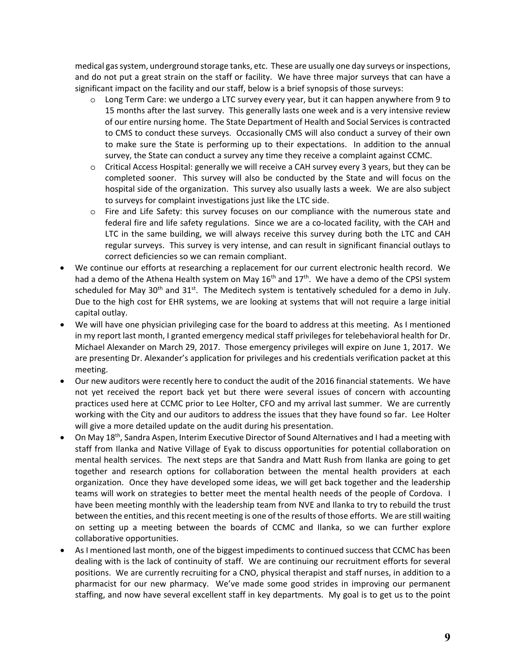medical gassystem, underground storage tanks, etc. These are usually one day surveys orinspections, and do not put a great strain on the staff or facility. We have three major surveys that can have a significant impact on the facility and our staff, below is a brief synopsis of those surveys:

- o Long Term Care: we undergo a LTC survey every year, but it can happen anywhere from 9 to 15 months after the last survey. This generally lasts one week and is a very intensive review of our entire nursing home. The State Department of Health and Social Services is contracted to CMS to conduct these surveys. Occasionally CMS will also conduct a survey of their own to make sure the State is performing up to their expectations. In addition to the annual survey, the State can conduct a survey any time they receive a complaint against CCMC.
- o Critical Access Hospital: generally we will receive a CAH survey every 3 years, but they can be completed sooner. This survey will also be conducted by the State and will focus on the hospital side of the organization. This survey also usually lasts a week. We are also subject to surveys for complaint investigations just like the LTC side.
- o Fire and Life Safety: this survey focuses on our compliance with the numerous state and federal fire and life safety regulations. Since we are a co-located facility, with the CAH and LTC in the same building, we will always receive this survey during both the LTC and CAH regular surveys. This survey is very intense, and can result in significant financial outlays to correct deficiencies so we can remain compliant.
- We continue our efforts at researching a replacement for our current electronic health record. We had a demo of the Athena Health system on May 16<sup>th</sup> and 17<sup>th</sup>. We have a demo of the CPSI system scheduled for May 30<sup>th</sup> and 31<sup>st</sup>. The Meditech system is tentatively scheduled for a demo in July. Due to the high cost for EHR systems, we are looking at systems that will not require a large initial capital outlay.
- We will have one physician privileging case for the board to address at this meeting. As I mentioned in my report last month, I granted emergency medical staff privileges for telebehavioral health for Dr. Michael Alexander on March 29, 2017. Those emergency privileges will expire on June 1, 2017. We are presenting Dr. Alexander's application for privileges and his credentials verification packet at this meeting.
- Our new auditors were recently here to conduct the audit of the 2016 financial statements. We have not yet received the report back yet but there were several issues of concern with accounting practices used here at CCMC prior to Lee Holter, CFO and my arrival last summer. We are currently working with the City and our auditors to address the issues that they have found so far. Lee Holter will give a more detailed update on the audit during his presentation.
- On May 18<sup>th</sup>, Sandra Aspen, Interim Executive Director of Sound Alternatives and I had a meeting with staff from Ilanka and Native Village of Eyak to discuss opportunities for potential collaboration on mental health services. The next steps are that Sandra and Matt Rush from Ilanka are going to get together and research options for collaboration between the mental health providers at each organization. Once they have developed some ideas, we will get back together and the leadership teams will work on strategies to better meet the mental health needs of the people of Cordova. I have been meeting monthly with the leadership team from NVE and Ilanka to try to rebuild the trust between the entities, and thisrecent meeting is one of the results of those efforts. We are still waiting on setting up a meeting between the boards of CCMC and Ilanka, so we can further explore collaborative opportunities.
- As I mentioned last month, one of the biggest impediments to continued success that CCMC has been dealing with is the lack of continuity of staff. We are continuing our recruitment efforts for several positions. We are currently recruiting for a CNO, physical therapist and staff nurses, in addition to a pharmacist for our new pharmacy. We've made some good strides in improving our permanent staffing, and now have several excellent staff in key departments. My goal is to get us to the point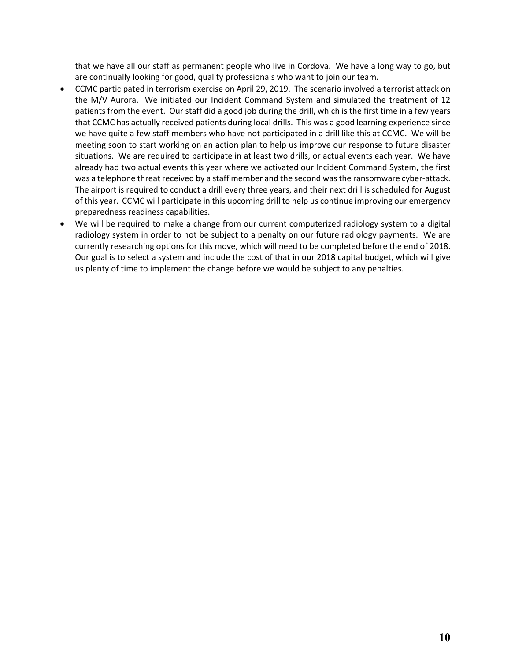that we have all our staff as permanent people who live in Cordova. We have a long way to go, but are continually looking for good, quality professionals who want to join our team.

- CCMC participated in terrorism exercise on April 29, 2019. The scenario involved a terrorist attack on the M/V Aurora. We initiated our Incident Command System and simulated the treatment of 12 patients from the event. Our staff did a good job during the drill, which is the first time in a few years that CCMC has actually received patients during local drills. This was a good learning experience since we have quite a few staff members who have not participated in a drill like this at CCMC. We will be meeting soon to start working on an action plan to help us improve our response to future disaster situations. We are required to participate in at least two drills, or actual events each year. We have already had two actual events this year where we activated our Incident Command System, the first was a telephone threat received by a staff member and the second was the ransomware cyber-attack. The airport is required to conduct a drill every three years, and their next drill is scheduled for August of this year. CCMC will participate in this upcoming drill to help us continue improving our emergency preparedness readiness capabilities.
- We will be required to make a change from our current computerized radiology system to a digital radiology system in order to not be subject to a penalty on our future radiology payments. We are currently researching options for this move, which will need to be completed before the end of 2018. Our goal is to select a system and include the cost of that in our 2018 capital budget, which will give us plenty of time to implement the change before we would be subject to any penalties.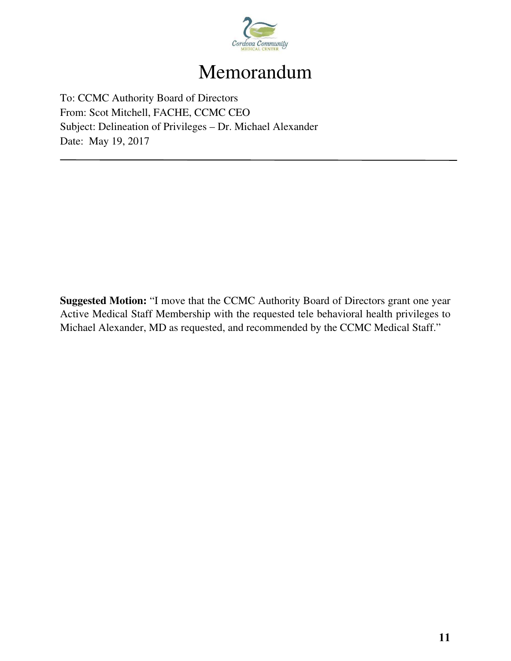

# Memorandum

To: CCMC Authority Board of Directors From: Scot Mitchell, FACHE, CCMC CEO Subject: Delineation of Privileges – Dr. Michael Alexander Date: May 19, 2017

**Suggested Motion:** "I move that the CCMC Authority Board of Directors grant one year Active Medical Staff Membership with the requested tele behavioral health privileges to Michael Alexander, MD as requested, and recommended by the CCMC Medical Staff."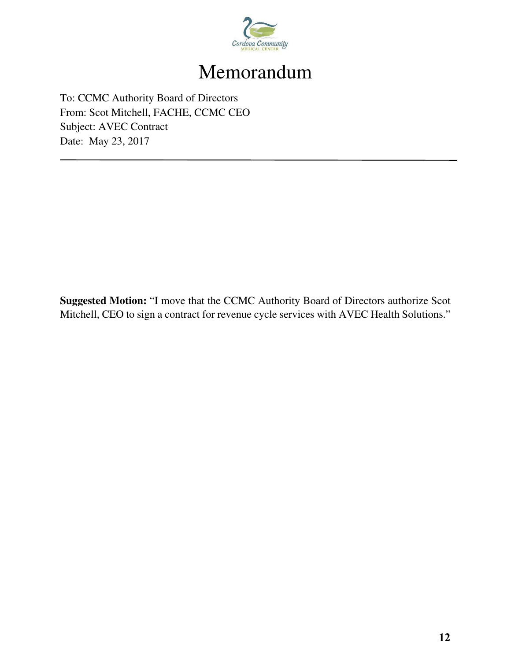

# Memorandum

To: CCMC Authority Board of Directors From: Scot Mitchell, FACHE, CCMC CEO Subject: AVEC Contract Date: May 23, 2017

**Suggested Motion:** "I move that the CCMC Authority Board of Directors authorize Scot Mitchell, CEO to sign a contract for revenue cycle services with AVEC Health Solutions."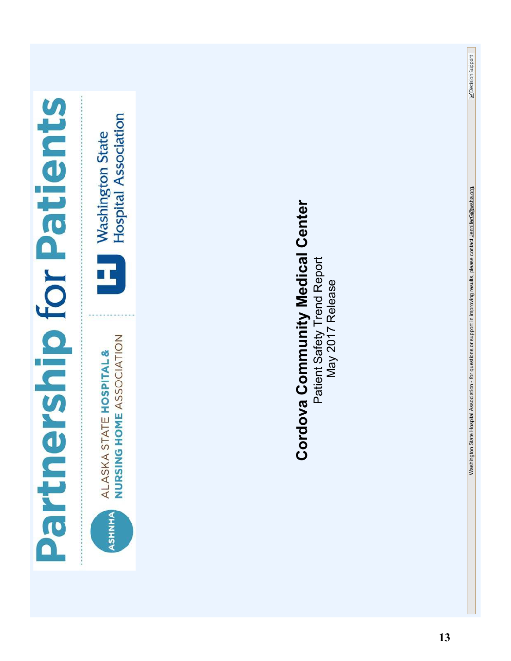



NURSING HOME ASSOCIATION ALASKA STATE HOSPITAL &

Washington State<br>Hospital Association ő

# **Cordova Community Medical Center** Cordova Community Medical Center Patient Safety Trend Report<br>May 2017 Release Patient Safety Trend Report

May 2017 Release

L'Decision Support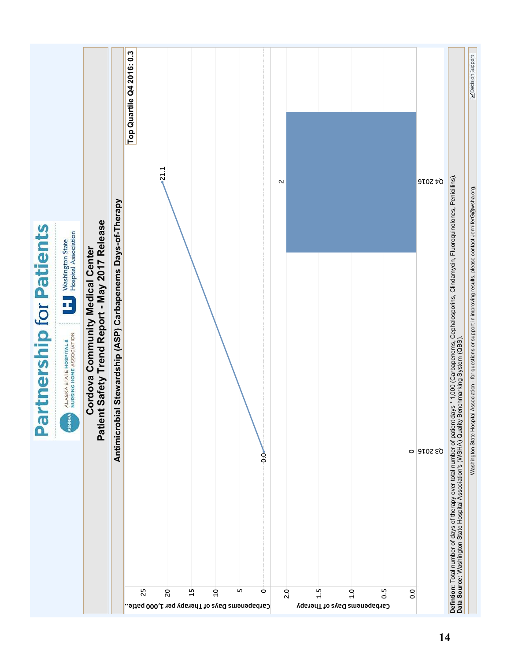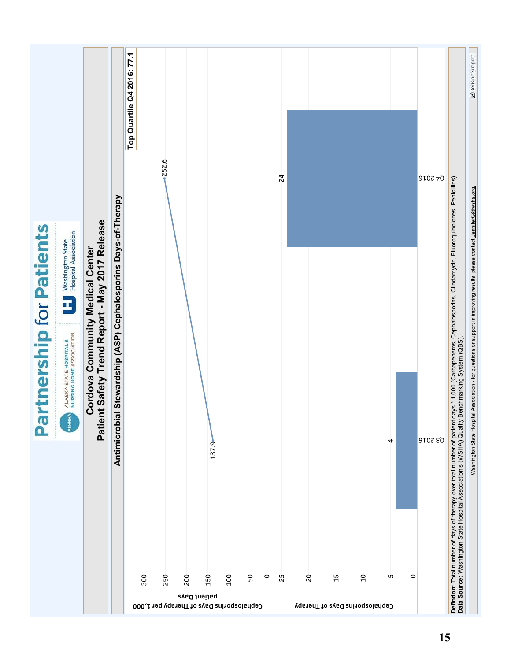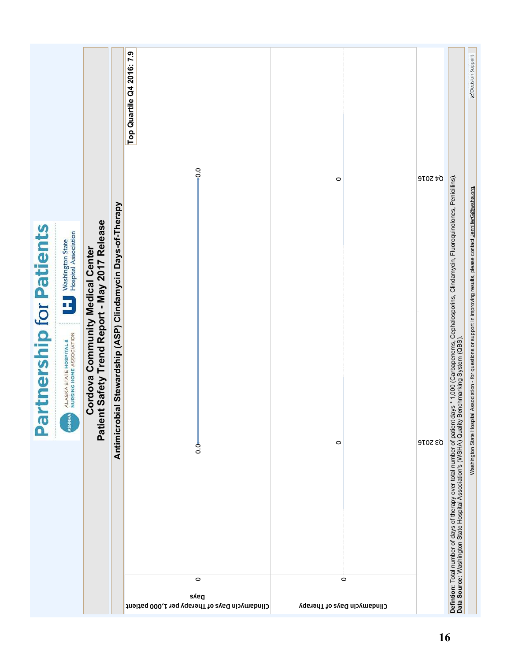| $\frac{1}{2}$<br>bial Stewardship (ASP) Clindamycin Days-of-Therapy | $\circ$ | 04 2016                                                                      | days * 1,000 (Carbapenems, Cephalosporins, Clindamycin, Fluoroquinolones, Penicillins).<br>Benchmarking System (QBS).<br>tal Association - for questions or support in improving results, please contact JenniferG@wsha.org. |
|---------------------------------------------------------------------|---------|------------------------------------------------------------------------------|------------------------------------------------------------------------------------------------------------------------------------------------------------------------------------------------------------------------------|
|                                                                     |         |                                                                              |                                                                                                                                                                                                                              |
| Antimicro<br>ိ                                                      | $\circ$ | <b>03 2016</b>                                                               | Washington State Hospi                                                                                                                                                                                                       |
| $\circ$                                                             | $\circ$ |                                                                              | Defintion: Total number of days of therapy over total number of patient<br>Data Source: Washington State Hospital Association's (WSHA) Quality                                                                               |
|                                                                     | eysd    | Clindamycin Days of Therapy per 1,000 patient<br>Clindamycin Days of Therapy |                                                                                                                                                                                                                              |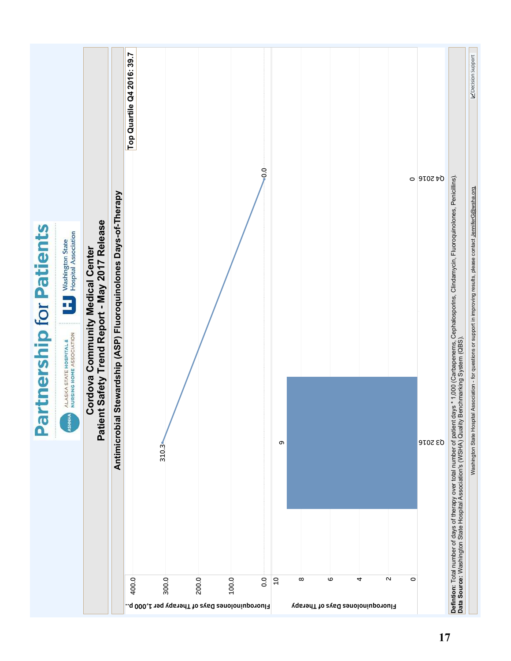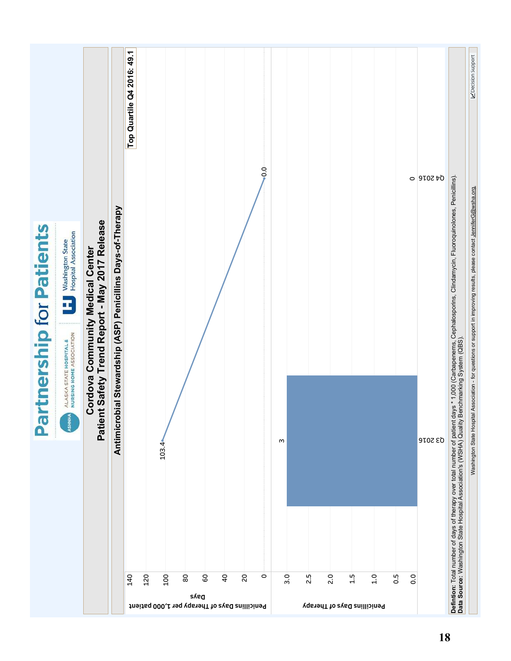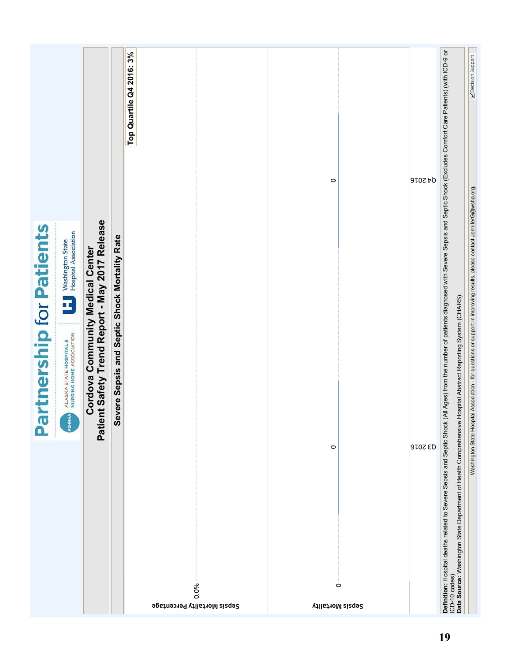| Washington State<br>Hospital Association                                                      |                                                                                           |                                                    | Top Quartile Q4 2016: 3%            | $\circ$                                | <b>9102 tO</b> | (All Ages) from the number of patients diagnosed with Severe Sepsis and Septic Shock (Excludes Comfort Care Patients) (with ICD-9 or                                                                                     | L'Decision Support                                                                                                        |
|-----------------------------------------------------------------------------------------------|-------------------------------------------------------------------------------------------|----------------------------------------------------|-------------------------------------|----------------------------------------|----------------|--------------------------------------------------------------------------------------------------------------------------------------------------------------------------------------------------------------------------|---------------------------------------------------------------------------------------------------------------------------|
| Partnership for Patients<br><br>ALASKA STATE HOSPITAL &<br>NURSING HOME ASSOCIATION<br>ASHNHA | Patient Safety Trend Report - May 2017 Release<br><b>Cordova Community Medical Center</b> | evere Sepsis and Septic Shock Mortality Rate<br>ဖိ | 0.0%<br>Sepsis Mortality Percentage | $\circ$<br>$\circ$<br>Sepsis Mortality | <b>9102 ED</b> | Hospital Abstract Reporting System (CHARS).<br><b>Definition:</b> Hospital deaths related to Severe Sepsis and Septic Shock<br>ICD-10 codes).<br><b>Data Source:</b> Washington State Department of Health Comprehensive | Washington State Hospital Association - for questions or support in improving results, please contact JenniferG@wsha.org. |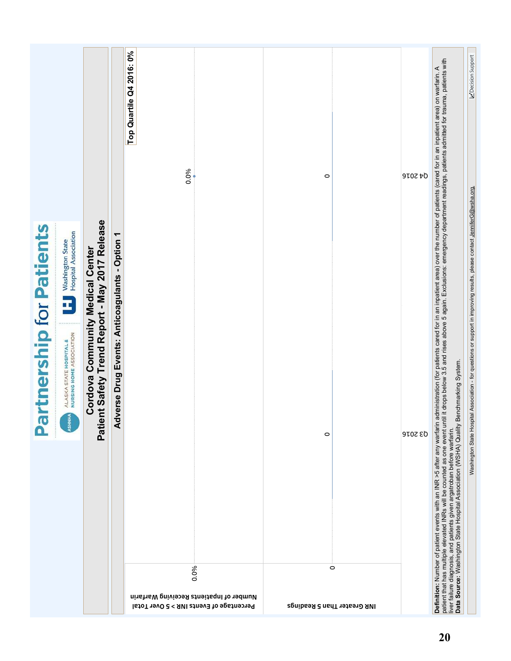|                                                                                                                                                                                                                         | Top Quartile Q4 2016: 0%                                                                   |                                               |                | L'Decision Support                                                                                                                                                                                                                                                                                                                                                                                                        |
|-------------------------------------------------------------------------------------------------------------------------------------------------------------------------------------------------------------------------|--------------------------------------------------------------------------------------------|-----------------------------------------------|----------------|---------------------------------------------------------------------------------------------------------------------------------------------------------------------------------------------------------------------------------------------------------------------------------------------------------------------------------------------------------------------------------------------------------------------------|
| Patient Safety Trend Report - May 2017 Release<br>Partnership for Patients<br>Washington State<br>Hospital Association<br>Adverse Drug Events: Anticoagulants - Option 1<br><b>Cordova Community Medical Center</b><br> | 0.0%                                                                                       | $\circ$                                       | <b>Q4 2016</b> | Washington State Hospital Association - for questions or support in improving results, please contact <u>JenniferG@wsha.org.</u>                                                                                                                                                                                                                                                                                          |
| ALASKA STATE HOSPITAL &<br>NURSING HOME ASSOCIATION<br>$\mathbf{A}$<br>ASHRI                                                                                                                                            |                                                                                            | $\circ$                                       | <b>03 2016</b> | <b>Definition:</b> Number of patient events with an INR >5 after any warfarin administration (for patients cared for in an inpatient area) over the number of patients (cared for in an inpatient area) on warfarin. A<br>patient that<br>enchmarking System.<br>∞<br>liver failure diagnosis, and patients given argatroban before warfarin.<br><b>Data Source:</b> Washington State Hospital Association (WSHA) Quality |
|                                                                                                                                                                                                                         | 0.0%<br>Number of Inpatients Receiving Warfarin<br>Percentage of Events INR > 5 Over Total | $\circ$<br><b>INR Greater Than 5 Readings</b> |                |                                                                                                                                                                                                                                                                                                                                                                                                                           |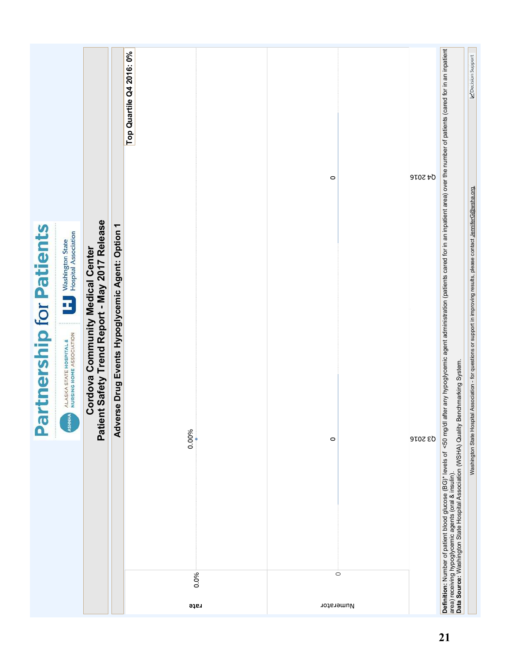|                                                                                                                                                                                             |                                                                                                    | Top Quartile Q4 2016: 0% | $\circ$              | <b>Q4 2016</b> |                                                                                                                                                                                                                                        | L'Decision Support                                                                                                        |
|---------------------------------------------------------------------------------------------------------------------------------------------------------------------------------------------|----------------------------------------------------------------------------------------------------|--------------------------|----------------------|----------------|----------------------------------------------------------------------------------------------------------------------------------------------------------------------------------------------------------------------------------------|---------------------------------------------------------------------------------------------------------------------------|
| <b>Partnership for Patients</b><br>Washington State<br>Hospital Association<br><b>Cordova Community Medical Center</b><br><br>ALASKA STATE HOSPITAL &<br>NURSING HOME ASSOCIATION<br>ASHNHA | Patient Safety Trend Report - May 2017 Release<br>Adverse Drug Events Hypoglycemic Agent: Option 1 | 0.00%                    | $\circ$              | <b>Q32016</b>  | <b>Definition:</b> Number of patient blood glucose (BG)* levels of <50 mg/dl after any hypoglycemic agent administration (patients cared for in an inpatient area) over the number of patients (cared for in an inpatient<br>area) rec | Washington State Hospital Association - for questions or support in improving results, please contact JenniferG@wsha.org. |
|                                                                                                                                                                                             |                                                                                                    | 0.0%<br>rate             | $\circ$<br>Numerator |                |                                                                                                                                                                                                                                        |                                                                                                                           |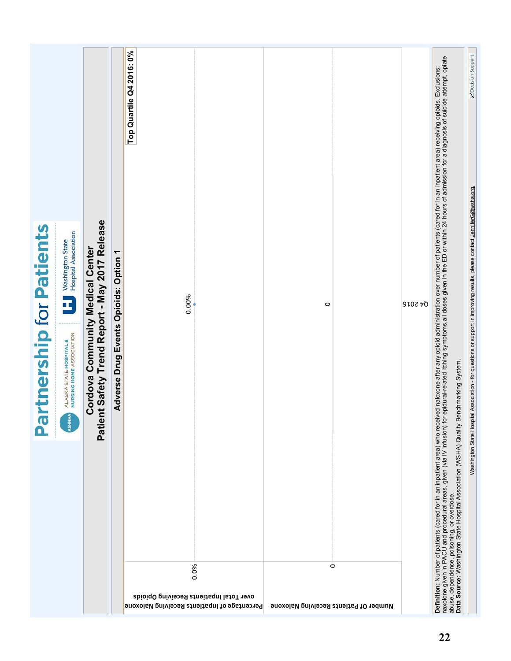| <b>Partnership for Patients</b><br>Washington State<br>Hospital Association<br>I<br>$+ 0 + 1 + 1$<br>ALASKA STATE HOSPITAL &<br>NURSING HOME ASSOCIATION<br>$\mathbf{F}$<br><b>ASHN</b> | Patient Safety Trend Report - May 2017 Release<br><b>Cordova Community Medical Center</b> | Adverse Drug Events Opioids: Option 1 | Top Quartile Q4 2016: 0%<br>0.00%                                                              | $\circ$                               |         | <b>Q4 2016</b> | Definition: Number of patients (cared for in an inpatient area) who received naloxone after any opioid administration over number of patients (cared for in an inpatient area) receiving opioids. Exclusions:<br>naxolone given i | L'Decision Support<br>Washington State Hospital Association - for questions or support in improving results, please contact <u>JenniferG@wsha.org.</u> |
|-----------------------------------------------------------------------------------------------------------------------------------------------------------------------------------------|-------------------------------------------------------------------------------------------|---------------------------------------|------------------------------------------------------------------------------------------------|---------------------------------------|---------|----------------|-----------------------------------------------------------------------------------------------------------------------------------------------------------------------------------------------------------------------------------|--------------------------------------------------------------------------------------------------------------------------------------------------------|
|                                                                                                                                                                                         |                                                                                           |                                       | 0.0%<br>over Total Inpatients Receiving Opioids<br>Percentage of Inpatients Receiving Naloxone | Number Of Patients Receiving Naloxone | $\circ$ |                |                                                                                                                                                                                                                                   |                                                                                                                                                        |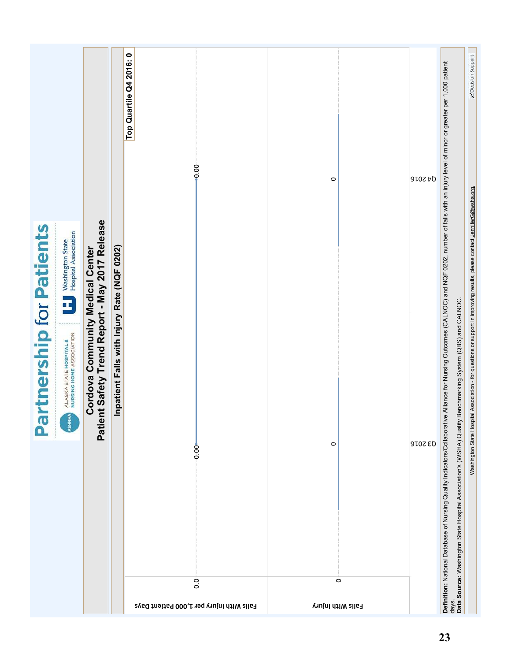| <br>ALASKA STATE HOSPITAL &<br>NURSING HOME ASSOCIATION<br>ASHNHA<br><b>9102 ED</b><br>$\circ$<br>0.00<br>$\circ$<br>$\rm ^{\circ}$ |                                                                                                                                                                                                                  | Top Quartile Q4 2016: 0<br>$-0.00$ | $\circ$ | <b>9107b0</b> |                                                                                                                                                                                                                                                   | L'Decision Support                                                                                                               |
|-------------------------------------------------------------------------------------------------------------------------------------|------------------------------------------------------------------------------------------------------------------------------------------------------------------------------------------------------------------|------------------------------------|---------|---------------|---------------------------------------------------------------------------------------------------------------------------------------------------------------------------------------------------------------------------------------------------|----------------------------------------------------------------------------------------------------------------------------------|
|                                                                                                                                     | Patient Safety Trend Report - May 2017 Release<br>Partnership for Patients<br>Washington State<br>Hospital Association<br>Inpatient Falls with Injury Rate (NQF 0202)<br><b>Cordova Community Medical Center</b> |                                    |         |               | <b>Definition:</b> National Database of Nursing Quality Indicators/Collaborative Alliance for Nursing Outcomes (CALNOC) and NQF 0202, number of falls with an injury level of minor or greater per 1,000 patient<br><mark>Data Source:</mark> Was | Washington State Hospital Association - for questions or support in improving results, please contact <u>JenniferG@wsha.org.</u> |